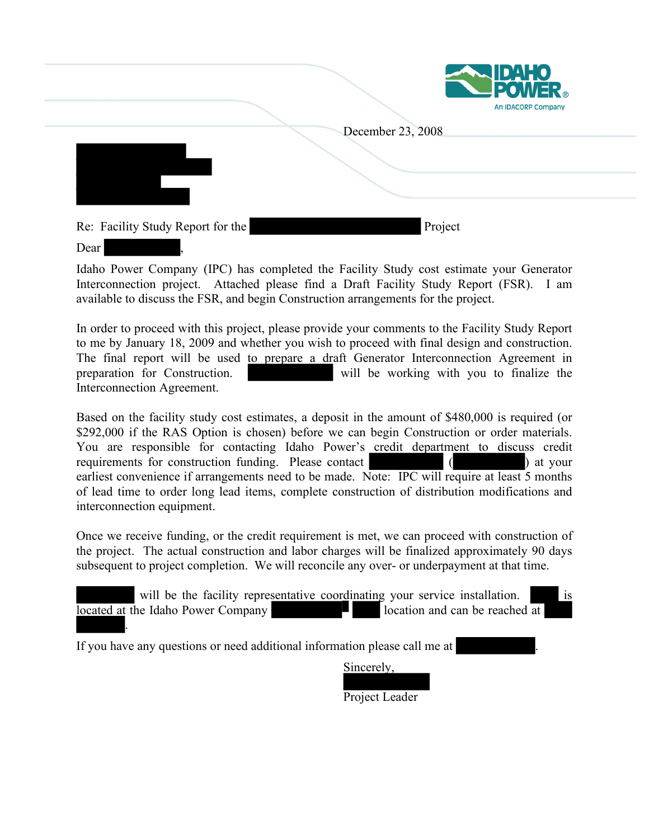

|                                   |                   | An IDACORP Company |
|-----------------------------------|-------------------|--------------------|
|                                   | December 23, 2008 |                    |
|                                   |                   |                    |
|                                   |                   |                    |
|                                   |                   |                    |
|                                   |                   |                    |
| Re: Facility Study Report for the | Project           |                    |
| Dear                              |                   |                    |

Idaho Power Company (IPC) has completed the Facility Study cost estimate your Generator Interconnection project. Attached please find a Draft Facility Study Report (FSR). I am available to discuss the FSR, and begin Construction arrangements for the project.

In order to proceed with this project, please provide your comments to the Facility Study Report to me by January 18, 2009 and whether you wish to proceed with final design and construction. The final report will be used to prepare a draft Generator Interconnection Agreement in preparation for Construction. will be working with you to finalize the Interconnection Agreement.

Based on the facility study cost estimates, a deposit in the amount of \$480,000 is required (or \$292,000 if the RAS Option is chosen) before we can begin Construction or order materials. You are responsible for contacting Idaho Power's credit department to discuss credit requirements for construction funding. Please contact ( ) at your earliest convenience if arrangements need to be made. Note: IPC will require at least 5 months of lead time to order long lead items, complete construction of distribution modifications and interconnection equipment.

Once we receive funding, or the credit requirement is met, we can proceed with construction of the project. The actual construction and labor charges will be finalized approximately 90 days subsequent to project completion. We will reconcile any over- or underpayment at that time.

| will be the facility representative coordinating your service installation. | 1S |
|-----------------------------------------------------------------------------|----|
| location and can be reached at<br>located at the Idaho Power Company        |    |
|                                                                             |    |

If you have any questions or need additional information please call me at

Sincerely,

Project Leader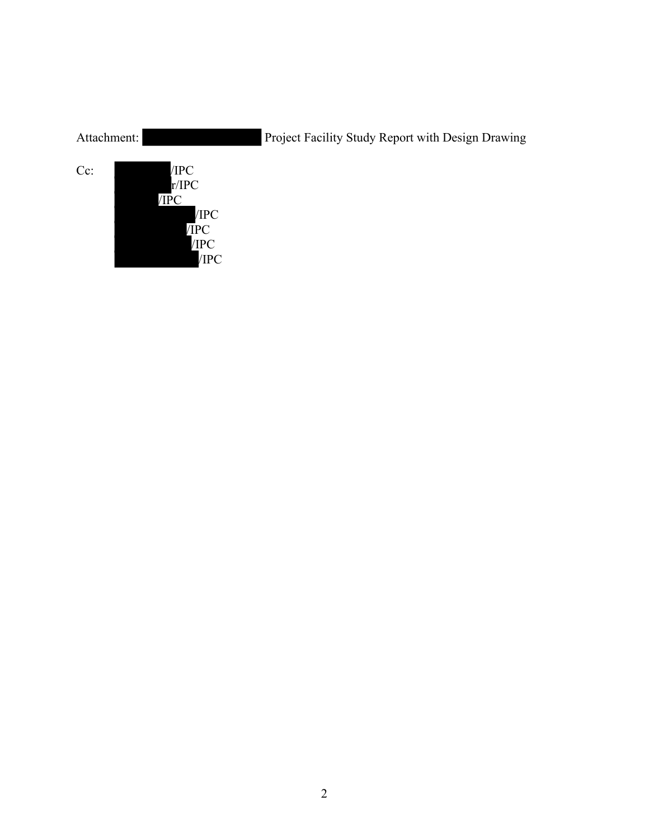| Attachment: |                                                       | Project Facility Study Report with Design Drawing |
|-------------|-------------------------------------------------------|---------------------------------------------------|
| Cc:         | /IPC<br>r/IPC<br>/IPC<br>/IPC<br>/IPC<br>/IPC<br>/IPC |                                                   |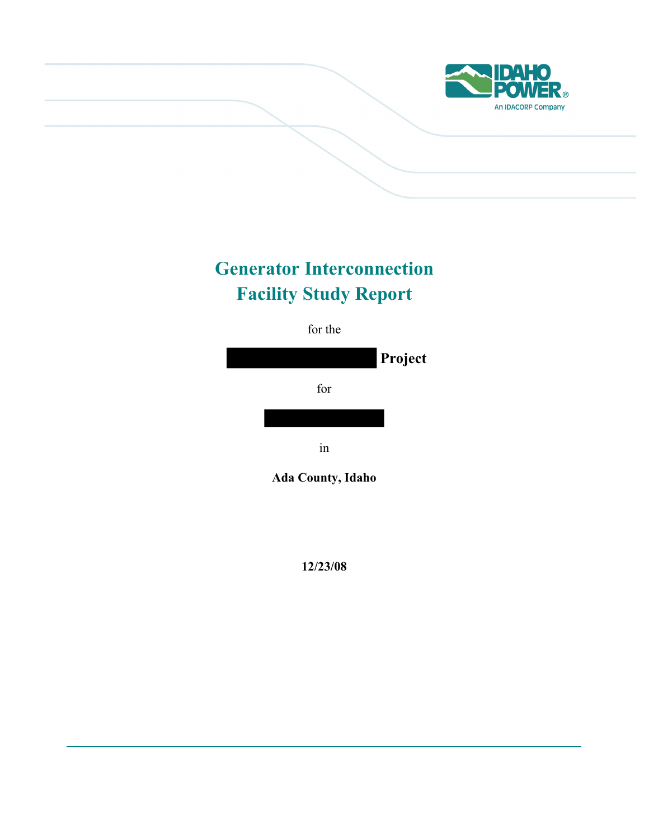

# **Generator Interconnection Facility Study Report**



**12/23/08**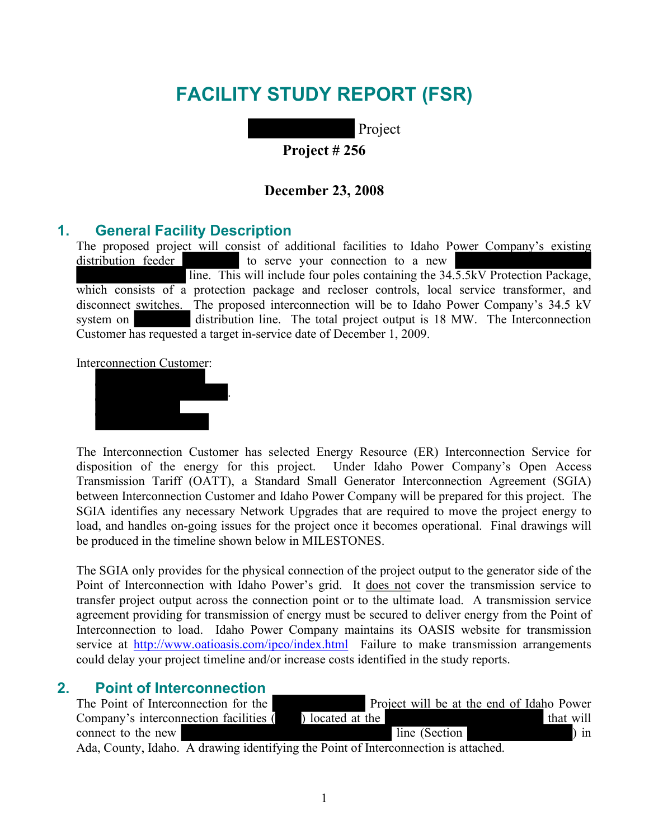## **FACILITY STUDY REPORT (FSR)**

Project

**Project # 256** 

#### **December 23, 2008**

#### **1. General Facility Description**

The proposed project will consist of additional facilities to Idaho Power Company's existing distribution feeder to serve your connection to a new line. This will include four poles containing the 34.5.5kV Protection Package, which consists of a protection package and recloser controls, local service transformer, and disconnect switches. The proposed interconnection will be to Idaho Power Company's 34.5 kV system on distribution line. The total project output is 18 MW. The Interconnection Customer has requested a target in-service date of December 1, 2009.

Interconnection Customer:



.

The Interconnection Customer has selected Energy Resource (ER) Interconnection Service for disposition of the energy for this project. Under Idaho Power Company's Open Access Transmission Tariff (OATT), a Standard Small Generator Interconnection Agreement (SGIA) between Interconnection Customer and Idaho Power Company will be prepared for this project. The SGIA identifies any necessary Network Upgrades that are required to move the project energy to load, and handles on-going issues for the project once it becomes operational. Final drawings will be produced in the timeline shown below in MILESTONES.

The SGIA only provides for the physical connection of the project output to the generator side of the Point of Interconnection with Idaho Power's grid. It does not cover the transmission service to transfer project output across the connection point or to the ultimate load. A transmission service agreement providing for transmission of energy must be secured to deliver energy from the Point of Interconnection to load. Idaho Power Company maintains its OASIS website for transmission service at <http://www.oatioasis.com/ipco/index.html>Failure to make transmission arrangements could delay your project timeline and/or increase costs identified in the study reports.

#### **2. Point of Interconnection**

| The Point of Interconnection for the                                                |                  |               | Project will be at the end of Idaho Power |  |
|-------------------------------------------------------------------------------------|------------------|---------------|-------------------------------------------|--|
| Company's interconnection facilities (                                              | ) located at the |               | that will                                 |  |
| connect to the new                                                                  |                  | line (Section | $\sin$                                    |  |
| Ada, County, Idaho. A drawing identifying the Point of Interconnection is attached. |                  |               |                                           |  |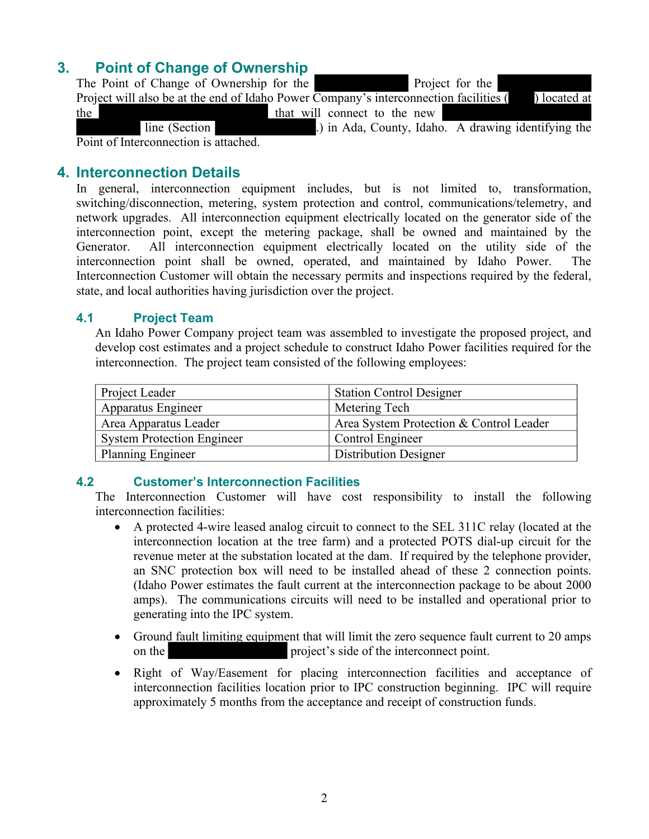## **3. Point of Change of Ownership**

| The Point of Change of Ownership for the                                                                    |                              |  | Project for the |                                                     |
|-------------------------------------------------------------------------------------------------------------|------------------------------|--|-----------------|-----------------------------------------------------|
| Project will also be at the end of Idaho Power Company's interconnection facilities (Separately) located at |                              |  |                 |                                                     |
| the                                                                                                         | that will connect to the new |  |                 |                                                     |
| line (Section                                                                                               |                              |  |                 | .) in Ada, County, Idaho. A drawing identifying the |
| Point of Interconnection is attached.                                                                       |                              |  |                 |                                                     |

#### **4. Interconnection Details**

In general, interconnection equipment includes, but is not limited to, transformation, switching/disconnection, metering, system protection and control, communications/telemetry, and network upgrades. All interconnection equipment electrically located on the generator side of the interconnection point, except the metering package, shall be owned and maintained by the Generator. All interconnection equipment electrically located on the utility side of the interconnection point shall be owned, operated, and maintained by Idaho Power. The Interconnection Customer will obtain the necessary permits and inspections required by the federal, state, and local authorities having jurisdiction over the project.

#### **4.1 Project Team**

An Idaho Power Company project team was assembled to investigate the proposed project, and develop cost estimates and a project schedule to construct Idaho Power facilities required for the interconnection. The project team consisted of the following employees:

| Project Leader                    | <b>Station Control Designer</b>         |
|-----------------------------------|-----------------------------------------|
| <b>Apparatus Engineer</b>         | Metering Tech                           |
| Area Apparatus Leader             | Area System Protection & Control Leader |
| <b>System Protection Engineer</b> | Control Engineer                        |
| <b>Planning Engineer</b>          | <b>Distribution Designer</b>            |

#### **4.2 Customer's Interconnection Facilities**

The Interconnection Customer will have cost responsibility to install the following interconnection facilities:

- A protected 4-wire leased analog circuit to connect to the SEL 311C relay (located at the interconnection location at the tree farm) and a protected POTS dial-up circuit for the revenue meter at the substation located at the dam. If required by the telephone provider, an SNC protection box will need to be installed ahead of these 2 connection points. (Idaho Power estimates the fault current at the interconnection package to be about 2000 amps). The communications circuits will need to be installed and operational prior to generating into the IPC system.
- Ground fault limiting equipment that will limit the zero sequence fault current to 20 amps on the project's side of the interconnect point.
- Right of Way/Easement for placing interconnection facilities and acceptance of interconnection facilities location prior to IPC construction beginning. IPC will require approximately 5 months from the acceptance and receipt of construction funds.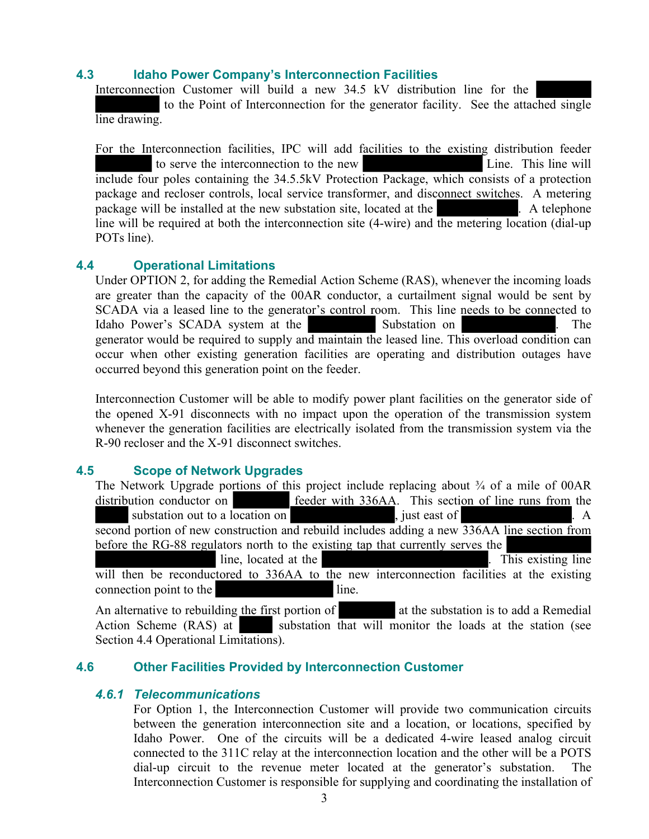#### **4.3 Idaho Power Company's Interconnection Facilities**

Interconnection Customer will build a new 34.5 kV distribution line for the

 to the Point of Interconnection for the generator facility. See the attached single line drawing.

For the Interconnection facilities, IPC will add facilities to the existing distribution feeder to serve the interconnection to the new Line. This line will include four poles containing the 34.5.5kV Protection Package, which consists of a protection package and recloser controls, local service transformer, and disconnect switches. A metering package will be installed at the new substation site, located at the . A telephone line will be required at both the interconnection site (4-wire) and the metering location (dial-up POTs line).

#### **4.4 Operational Limitations**

Under OPTION 2, for adding the Remedial Action Scheme (RAS), whenever the incoming loads are greater than the capacity of the 00AR conductor, a curtailment signal would be sent by SCADA via a leased line to the generator's control room. This line needs to be connected to Idaho Power's SCADA system at the Substation on . The . The generator would be required to supply and maintain the leased line. This overload condition can occur when other existing generation facilities are operating and distribution outages have occurred beyond this generation point on the feeder.

Interconnection Customer will be able to modify power plant facilities on the generator side of the opened X-91 disconnects with no impact upon the operation of the transmission system whenever the generation facilities are electrically isolated from the transmission system via the R-90 recloser and the X-91 disconnect switches.

#### **4.5 Scope of Network Upgrades**

|                           | The Network Upgrade portions of this project include replacing about $\frac{3}{4}$ of a mile of 00AR                                                                                                                                                                                                                                                                                                                                                                        |
|---------------------------|-----------------------------------------------------------------------------------------------------------------------------------------------------------------------------------------------------------------------------------------------------------------------------------------------------------------------------------------------------------------------------------------------------------------------------------------------------------------------------|
| distribution conductor on | feeder with 336AA. This section of line runs from the                                                                                                                                                                                                                                                                                                                                                                                                                       |
|                           | substation out to a location on the set of substation of substation of substation of substantial substantial substantial substantial substantial substantial substantial substantial substantial substantial substantial subst<br>A<br><u> Andrew State Communication of the Communication of the Communication of the Communication of the Communication of the Communication of the Communication of the Communication of the Communication of the Communication of t</u> |
|                           | second portion of new construction and rebuild includes adding a new 336AA line section from                                                                                                                                                                                                                                                                                                                                                                                |
|                           | before the RG-88 regulators north to the existing tap that currently serves the                                                                                                                                                                                                                                                                                                                                                                                             |
| line, located at the      | . This existing line                                                                                                                                                                                                                                                                                                                                                                                                                                                        |
|                           | will then be reconductored to 336AA to the new interconnection facilities at the existing                                                                                                                                                                                                                                                                                                                                                                                   |
| connection point to the   | line.                                                                                                                                                                                                                                                                                                                                                                                                                                                                       |
|                           |                                                                                                                                                                                                                                                                                                                                                                                                                                                                             |

An alternative to rebuilding the first portion of at the substation is to add a Remedial Action Scheme (RAS) at substation that will monitor the loads at the station (see Section 4.4 Operational Limitations).

#### **4.6 Other Facilities Provided by Interconnection Customer**

#### *4.6.1 Telecommunications*

For Option 1, the Interconnection Customer will provide two communication circuits between the generation interconnection site and a location, or locations, specified by Idaho Power. One of the circuits will be a dedicated 4-wire leased analog circuit connected to the 311C relay at the interconnection location and the other will be a POTS dial-up circuit to the revenue meter located at the generator's substation. The Interconnection Customer is responsible for supplying and coordinating the installation of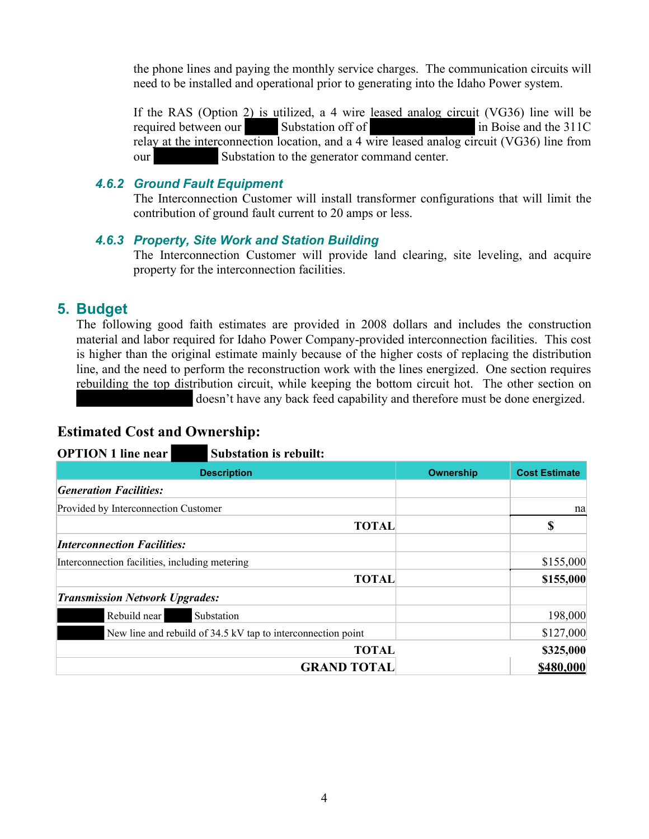the phone lines and paying the monthly service charges. The communication circuits will need to be installed and operational prior to generating into the Idaho Power system.

If the RAS (Option 2) is utilized, a 4 wire leased analog circuit (VG36) line will be required between our Substation off of in Boise and the 311C relay at the interconnection location, and a 4 wire leased analog circuit (VG36) line from our Substation to the generator command center.

#### *4.6.2 Ground Fault Equipment*

The Interconnection Customer will install transformer configurations that will limit the contribution of ground fault current to 20 amps or less.

#### *4.6.3 Property, Site Work and Station Building*

The Interconnection Customer will provide land clearing, site leveling, and acquire property for the interconnection facilities.

### **5. Budget**

The following good faith estimates are provided in 2008 dollars and includes the construction material and labor required for Idaho Power Company-provided interconnection facilities. This cost is higher than the original estimate mainly because of the higher costs of replacing the distribution line, and the need to perform the reconstruction work with the lines energized. One section requires rebuilding the top distribution circuit, while keeping the bottom circuit hot. The other section on doesn't have any back feed capability and therefore must be done energized.

#### **Estimated Cost and Ownership:**

| <b>OPTION 1 line near</b><br><b>Substation is rebuilt:</b>   |                  |                      |
|--------------------------------------------------------------|------------------|----------------------|
| <b>Description</b>                                           | <b>Ownership</b> | <b>Cost Estimate</b> |
| <b>Generation Facilities:</b>                                |                  |                      |
| Provided by Interconnection Customer                         |                  | na                   |
|                                                              | <b>TOTAL</b>     | S                    |
| <b>Interconnection Facilities:</b>                           |                  |                      |
| Interconnection facilities, including metering               |                  | \$155,000            |
|                                                              | <b>TOTAL</b>     | \$155,000            |
| <b>Transmission Network Upgrades:</b>                        |                  |                      |
| Rebuild near<br>Substation                                   |                  | 198,000              |
| New line and rebuild of 34.5 kV tap to interconnection point |                  | \$127,000            |
|                                                              | <b>TOTAL</b>     | \$325,000            |
| <b>GRAND TOTAL</b>                                           |                  | \$480,000            |